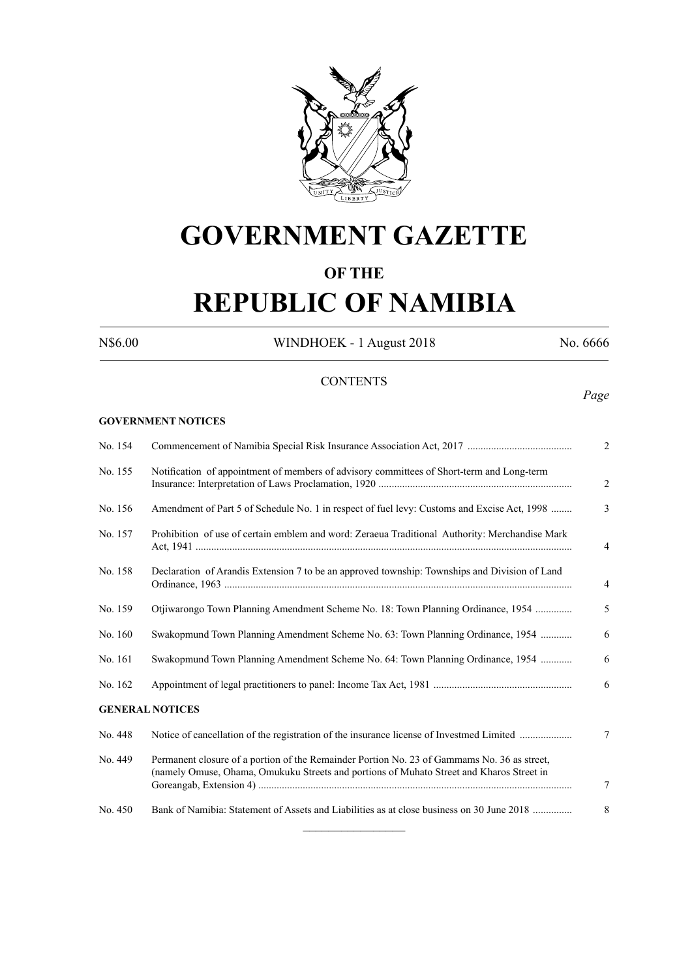

# **GOVERNMENT GAZETTE**

# **OF THE**

# **REPUBLIC OF NAMIBIA**

**GOVERNMENT NOTICES**

N\$6.00 WINDHOEK - 1 August 2018 No. 6666

# **CONTENTS**

*Page*

| No. 154 |                                                                                                                                                                                         | $\overline{2}$ |
|---------|-----------------------------------------------------------------------------------------------------------------------------------------------------------------------------------------|----------------|
| No. 155 | Notification of appointment of members of advisory committees of Short-term and Long-term                                                                                               | $\overline{c}$ |
| No. 156 | Amendment of Part 5 of Schedule No. 1 in respect of fuel levy: Customs and Excise Act, 1998                                                                                             | 3              |
| No. 157 | Prohibition of use of certain emblem and word: Zeraeua Traditional Authority: Merchandise Mark                                                                                          | $\overline{4}$ |
| No. 158 | Declaration of Arandis Extension 7 to be an approved township: Townships and Division of Land                                                                                           | $\overline{4}$ |
| No. 159 | Otjiwarongo Town Planning Amendment Scheme No. 18: Town Planning Ordinance, 1954                                                                                                        | 5              |
| No. 160 | Swakopmund Town Planning Amendment Scheme No. 63: Town Planning Ordinance, 1954                                                                                                         | 6              |
| No. 161 | Swakopmund Town Planning Amendment Scheme No. 64: Town Planning Ordinance, 1954                                                                                                         | 6              |
| No. 162 |                                                                                                                                                                                         | 6              |
|         | <b>GENERAL NOTICES</b>                                                                                                                                                                  |                |
| No. 448 | Notice of cancellation of the registration of the insurance license of Investmed Limited                                                                                                | $\tau$         |
| No. 449 | Permanent closure of a portion of the Remainder Portion No. 23 of Gammams No. 36 as street,<br>(namely Omuse, Ohama, Omukuku Streets and portions of Muhato Street and Kharos Street in | 7              |
| No. 450 | Bank of Namibia: Statement of Assets and Liabilities as at close business on 30 June 2018                                                                                               | 8              |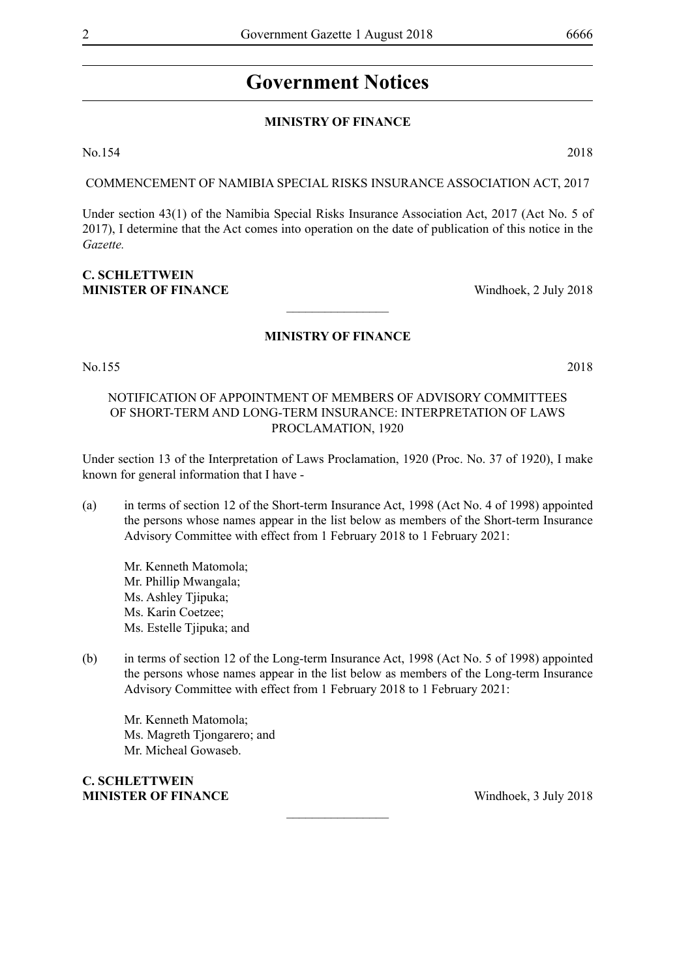# **Government Notices**

# **MINISTRY OF FINANCE**

No.154 2018

COMMENCEMENT OF NAMIBIA SPECIAL RISKS INSURANCE ASSOCIATION ACT, 2017

Under section 43(1) of the Namibia Special Risks Insurance Association Act, 2017 (Act No. 5 of 2017), I determine that the Act comes into operation on the date of publication of this notice in the *Gazette.*

# **C. SCHLETTWEIN MINISTER OF FINANCE** Windhoek, 2 July 2018

# **MINISTRY OF FINANCE**

 $\frac{1}{2}$ 

No.155 2018

# NOTIFICATION OF APPOINTMENT OF MEMBERS OF ADVISORY COMMITTEES OF SHORT-TERM AND LONG-TERM INSURANCE: INTERPRETATION OF LAWS PROCLAMATION, 1920

Under section 13 of the Interpretation of Laws Proclamation, 1920 (Proc. No. 37 of 1920), I make known for general information that I have -

(a) in terms of section 12 of the Short-term Insurance Act, 1998 (Act No. 4 of 1998) appointed the persons whose names appear in the list below as members of the Short-term Insurance Advisory Committee with effect from 1 February 2018 to 1 February 2021:

Mr. Kenneth Matomola; Mr. Phillip Mwangala; Ms. Ashley Tjipuka; Ms. Karin Coetzee; Ms. Estelle Tjipuka; and

(b) in terms of section 12 of the Long-term Insurance Act, 1998 (Act No. 5 of 1998) appointed the persons whose names appear in the list below as members of the Long-term Insurance Advisory Committee with effect from 1 February 2018 to 1 February 2021:

 $\frac{1}{2}$ 

Mr. Kenneth Matomola; Ms. Magreth Tjongarero; and Mr. Micheal Gowaseb.

**C. SCHLETTWEIN MINISTER OF FINANCE** Windhoek, 3 July 2018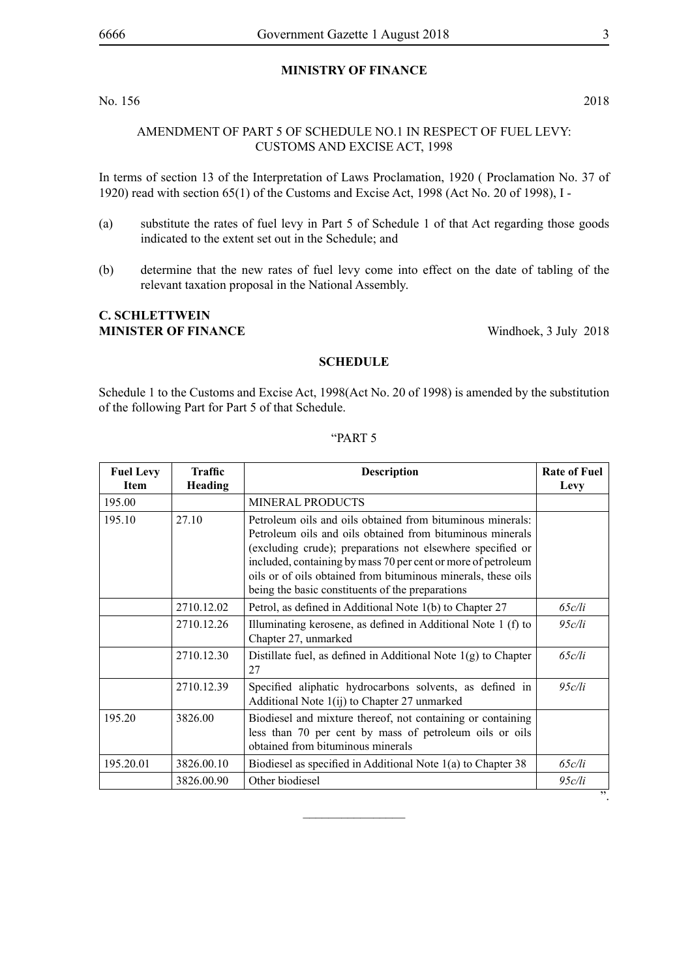# **MINISTRY OF FINANCE**

#### No. 156 2018

# AMENDMENT OF PART 5 OF SCHEDULE NO.1 IN RESPECT OF FUEL LEVY: CUSTOMS AND EXCISE ACT, 1998

In terms of section 13 of the Interpretation of Laws Proclamation, 1920 ( Proclamation No. 37 of 1920) read with section 65(1) of the Customs and Excise Act, 1998 (Act No. 20 of 1998), I -

- (a) substitute the rates of fuel levy in Part 5 of Schedule 1 of that Act regarding those goods indicated to the extent set out in the Schedule; and
- (b) determine that the new rates of fuel levy come into effect on the date of tabling of the relevant taxation proposal in the National Assembly.

# **C. SCHLETTWEIN MINISTER OF FINANCE** Windhoek, 3 July 2018

#### **SCHEDULE**

Schedule 1 to the Customs and Excise Act, 1998(Act No. 20 of 1998) is amended by the substitution of the following Part for Part 5 of that Schedule.

| <b>Fuel Levy</b><br><b>Item</b> | Traffic<br>Heading | <b>Description</b>                                                                                                                                                                                                                                                                                                                                                          | <b>Rate of Fuel</b><br>Levy |
|---------------------------------|--------------------|-----------------------------------------------------------------------------------------------------------------------------------------------------------------------------------------------------------------------------------------------------------------------------------------------------------------------------------------------------------------------------|-----------------------------|
| 195.00                          |                    | <b>MINERAL PRODUCTS</b>                                                                                                                                                                                                                                                                                                                                                     |                             |
| 195.10                          | 27.10              | Petroleum oils and oils obtained from bituminous minerals:<br>Petroleum oils and oils obtained from bituminous minerals<br>(excluding crude); preparations not elsewhere specified or<br>included, containing by mass 70 per cent or more of petroleum<br>oils or of oils obtained from bituminous minerals, these oils<br>being the basic constituents of the preparations |                             |
|                                 | 2710.12.02         | Petrol, as defined in Additional Note 1(b) to Chapter 27                                                                                                                                                                                                                                                                                                                    | 65c/li                      |
| 2710.12.26                      |                    | Illuminating kerosene, as defined in Additional Note 1 (f) to<br>Chapter 27, unmarked                                                                                                                                                                                                                                                                                       | 95c/li                      |
|                                 | 2710.12.30         | Distillate fuel, as defined in Additional Note $1(g)$ to Chapter<br>27                                                                                                                                                                                                                                                                                                      | 65c/li                      |
|                                 | 2710.12.39         | Specified aliphatic hydrocarbons solvents, as defined in<br>Additional Note 1(ij) to Chapter 27 unmarked                                                                                                                                                                                                                                                                    | 95c/li                      |
| 195.20                          | 3826.00            | Biodiesel and mixture thereof, not containing or containing<br>less than 70 per cent by mass of petroleum oils or oils<br>obtained from bituminous minerals                                                                                                                                                                                                                 |                             |
| 195.20.01                       | 3826.00.10         | Biodiesel as specified in Additional Note $1(a)$ to Chapter 38                                                                                                                                                                                                                                                                                                              | 65c/li                      |
|                                 | 3826.00.90         | Other biodiesel                                                                                                                                                                                                                                                                                                                                                             | 95c/li                      |

 $\overline{\phantom{a}}$  , where  $\overline{\phantom{a}}$ 

#### "PART 5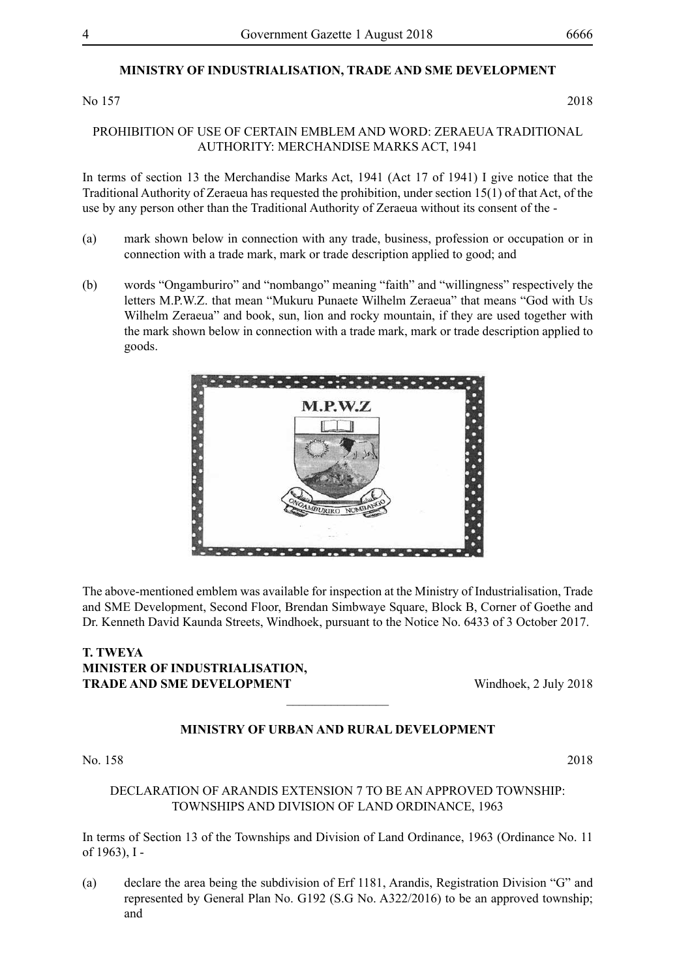# **MINISTRY OF INDUSTRIALISATION, TRADE AND SME DEVELOPMENT**

No 157 2018

#### PROHIBITION OF USE OF CERTAIN EMBLEM AND WORD: ZERAEUA TRADITIONAL AUTHORITY: MERCHANDISE MARKS ACT, 1941

In terms of section 13 the Merchandise Marks Act, 1941 (Act 17 of 1941) I give notice that the Traditional Authority of Zeraeua has requested the prohibition, under section 15(1) of that Act, of the use by any person other than the Traditional Authority of Zeraeua without its consent of the -

- (a) mark shown below in connection with any trade, business, profession or occupation or in connection with a trade mark, mark or trade description applied to good; and
- (b) words "Ongamburiro" and "nombango" meaning "faith" and "willingness" respectively the letters M.P.W.Z. that mean "Mukuru Punaete Wilhelm Zeraeua" that means "God with Us Wilhelm Zeraeua" and book, sun, lion and rocky mountain, if they are used together with the mark shown below in connection with a trade mark, mark or trade description applied to goods.



The above-mentioned emblem was available for inspection at the Ministry of Industrialisation, Trade and SME Development, Second Floor, Brendan Simbwaye Square, Block B, Corner of Goethe and Dr. Kenneth David Kaunda Streets, Windhoek, pursuant to the Notice No. 6433 of 3 October 2017.

# **T. TWEYA MINISTER OF INDUSTRIALISATION, TRADE AND SME DEVELOPMENT** Windhoek, 2 July 2018

# **MINISTRY OF URBAN AND RURAL DEVELOPMENT**

 $\frac{1}{2}$ 

No. 158 2018

# DECLARATION OF ARANDIS EXTENSION 7 TO BE AN APPROVED TOWNSHIP: TOWNSHIPS AND DIVISION OF LAND ORDINANCE, 1963

In terms of Section 13 of the Townships and Division of Land Ordinance, 1963 (Ordinance No. 11 of 1963), I -

(a) declare the area being the subdivision of Erf 1181, Arandis, Registration Division "G" and represented by General Plan No. G192 (S.G No. A322/2016) to be an approved township; and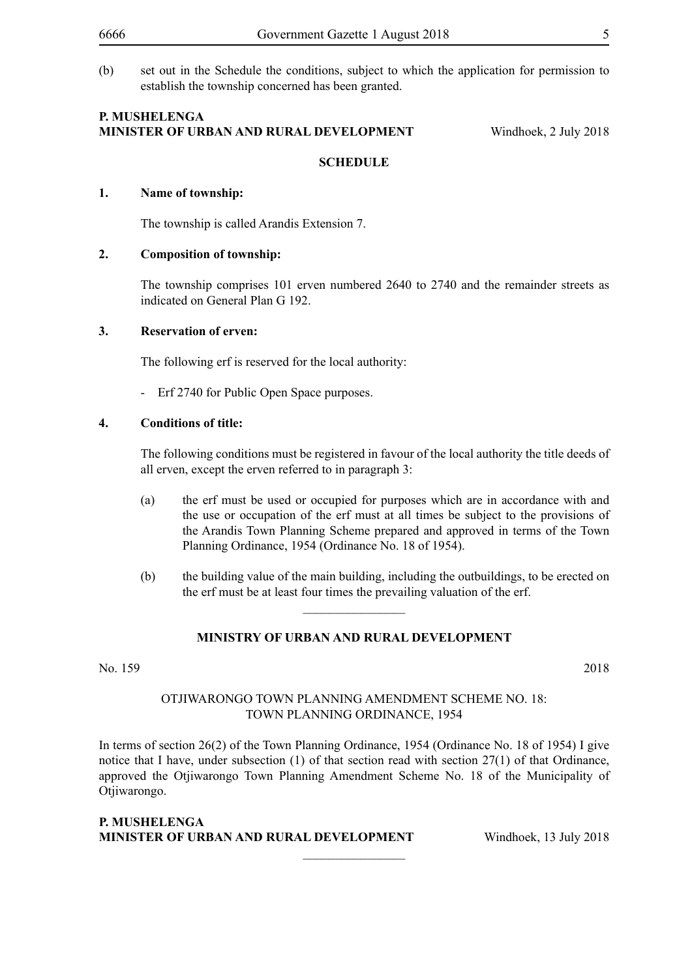(b) set out in the Schedule the conditions, subject to which the application for permission to establish the township concerned has been granted.

#### **P. Mushelenga Minister of Urban and Rural Development** Windhoek, 2 July 2018

# **SCHEDULE**

#### **1. Name of township:**

The township is called Arandis Extension 7.

#### **2. Composition of township:**

The township comprises 101 erven numbered 2640 to 2740 and the remainder streets as indicated on General Plan G 192.

#### **3. Reservation of erven:**

The following erf is reserved for the local authority:

- Erf 2740 for Public Open Space purposes.

#### **4. Conditions of title:**

The following conditions must be registered in favour of the local authority the title deeds of all erven, except the erven referred to in paragraph 3:

- (a) the erf must be used or occupied for purposes which are in accordance with and the use or occupation of the erf must at all times be subject to the provisions of the Arandis Town Planning Scheme prepared and approved in terms of the Town Planning Ordinance, 1954 (Ordinance No. 18 of 1954).
- (b) the building value of the main building, including the outbuildings, to be erected on the erf must be at least four times the prevailing valuation of the erf.

#### **MINISTRY OF URBAN AND RURAL DEVELOPMENT**

 $\overline{\phantom{a}}$  , where  $\overline{\phantom{a}}$ 

No. 159 2018

#### OTJIWARONGO TOWN PLANNING AMENDMENT SCHEME NO. 18: TOWN PLANNING ORDINANCE, 1954

In terms of section 26(2) of the Town Planning Ordinance, 1954 (Ordinance No. 18 of 1954) I give notice that I have, under subsection (1) of that section read with section 27(1) of that Ordinance, approved the Otjiwarongo Town Planning Amendment Scheme No. 18 of the Municipality of Otjiwarongo.

 $\frac{1}{2}$ 

#### **P. MUSHELENGA MINISTER OF URBAN AND RURAL DEVELOPMENT** Windhoek, 13 July 2018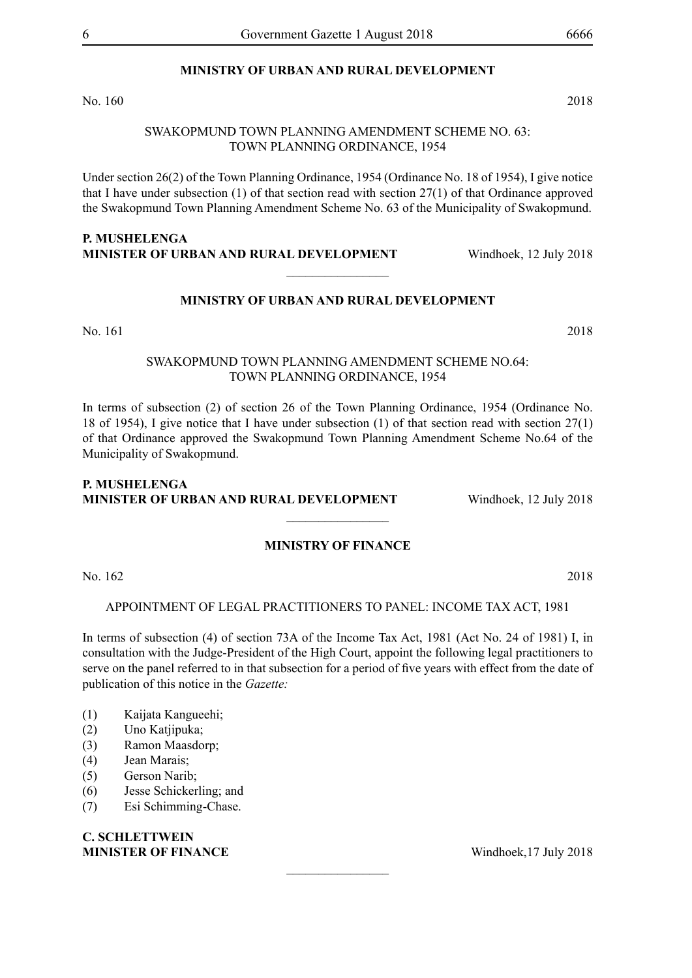# **MINISTRY OF URBAN AND RURAL DEVELOPMENT**

No. 160 2018

#### SWAKOPMUND TOWN PLANNING AMENDMENT SCHEME NO. 63: TOWN PLANNING ORDINANCE, 1954

Under section 26(2) of the Town Planning Ordinance, 1954 (Ordinance No. 18 of 1954), I give notice that I have under subsection (1) of that section read with section 27(1) of that Ordinance approved the Swakopmund Town Planning Amendment Scheme No. 63 of the Municipality of Swakopmund.

# **P. MUSHELENGA MINISTER OF URBAN AND RURAL DEVELOPMENT** Windhoek, 12 July 2018

## **MINISTRY OF URBAN AND RURAL DEVELOPMENT**

 $\frac{1}{2}$ 

No. 161 2018

### SWAKOPMUND TOWN PLANNING AMENDMENT SCHEME NO.64: TOWN PLANNING ORDINANCE, 1954

In terms of subsection (2) of section 26 of the Town Planning Ordinance, 1954 (Ordinance No. 18 of 1954), I give notice that I have under subsection (1) of that section read with section 27(1) of that Ordinance approved the Swakopmund Town Planning Amendment Scheme No.64 of the Municipality of Swakopmund.

# **P. MUSHELENGA MINISTER OF URBAN AND RURAL DEVELOPMENT** Windhoek, 12 July 2018  $\overline{\phantom{a}}$  , where  $\overline{\phantom{a}}$

#### **MINISTRY OF FINANCE**

No. 162 2018

APPOINTMENT OF LEGAL PRACTITIONERS TO PANEL: INCOME TAX ACT, 1981

In terms of subsection (4) of section 73A of the Income Tax Act, 1981 (Act No. 24 of 1981) I, in consultation with the Judge-President of the High Court, appoint the following legal practitioners to serve on the panel referred to in that subsection for a period of five years with effect from the date of publication of this notice in the *Gazette:*

 $\overline{\phantom{a}}$  , where  $\overline{\phantom{a}}$ 

- (1) Kaijata Kangueehi;
- (2) Uno Katjipuka;
- (3) Ramon Maasdorp;
- (4) Jean Marais;
- (5) Gerson Narib;
- (6) Jesse Schickerling; and
- (7) Esi Schimming-Chase.

# **C. SCHLETTWEIN MINISTER OF FINANCE** Windhoek, 17 July 2018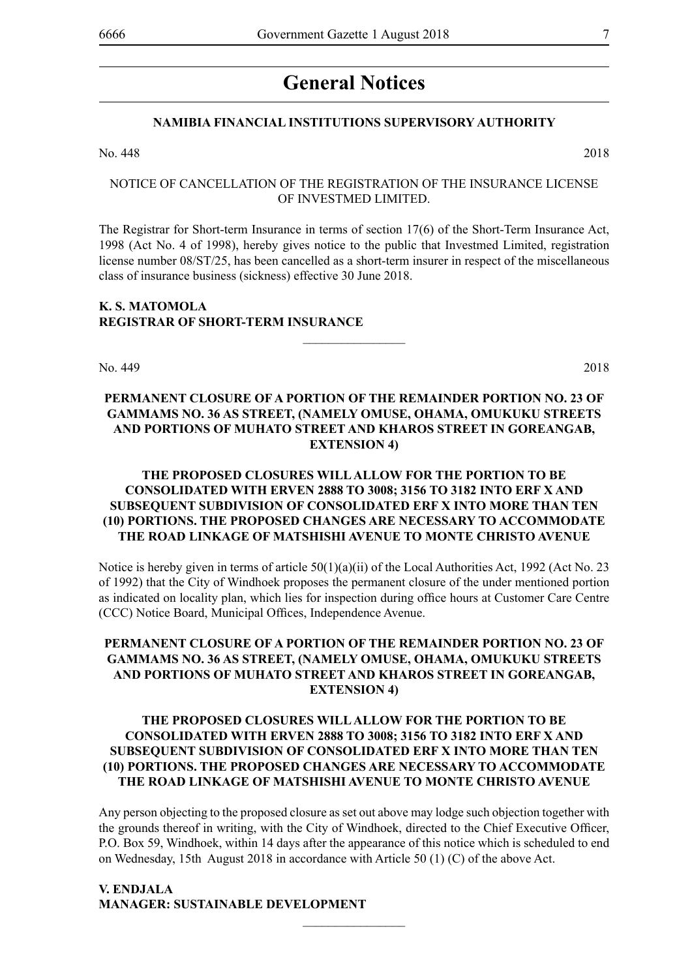# **General Notices**

## **NAMIBIA FINANCIAL INSTITUTIONS SUPERVISORY AUTHORITY**

No. 448 2018

# NOTICE OF CANCELLATION OF THE REGISTRATION OF THE INSURANCE LICENSE OF INVESTMED LIMITED.

The Registrar for Short-term Insurance in terms of section 17(6) of the Short-Term Insurance Act, 1998 (Act No. 4 of 1998), hereby gives notice to the public that Investmed Limited, registration license number 08/ST/25, has been cancelled as a short-term insurer in respect of the miscellaneous class of insurance business (sickness) effective 30 June 2018.

#### **K. S. Matomola REGISTRAR OF SHORT-TERM INSURANCE**

No. 449 2018

# **PERMANENT CLOSURE OF A PORTION OF THE REMAINDER PORTION NO. 23 OF GAMMAMS NO. 36 AS STREET, (NAMELY OMUSE, OHAMA, OMUKUKU STREETS AND PORTIONS OF MUHATO STREET AND KHAROS STREET IN GOREANGAB, EXTENSION 4)**

 $\overline{\phantom{a}}$  , where  $\overline{\phantom{a}}$ 

# **THE PROPOSED CLOSURES WILL ALLOW FOR THE PORTION TO BE CONSOLIDATED WITH ERVEN 2888 TO 3008; 3156 TO 3182 INTO ERF X AND SUBSEQUENT SUBDIVISION OF CONSOLIDATED ERF X INTO MORE THAN TEN (10) PORTIONS. THE PROPOSED CHANGES ARE NECESSARY TO ACCOMMODATE THE ROAD LINKAGE OF MATSHISHI AVENUE TO MONTE CHRISTO AVENUE**

Notice is hereby given in terms of article  $50(1)(a)(ii)$  of the Local Authorities Act, 1992 (Act No. 23) of 1992) that the City of Windhoek proposes the permanent closure of the under mentioned portion as indicated on locality plan, which lies for inspection during office hours at Customer Care Centre (CCC) Notice Board, Municipal Offices, Independence Avenue.

# **PERMANENT CLOSURE OF A PORTION OF THE REMAINDER PORTION NO. 23 OF GAMMAMS NO. 36 AS STREET, (NAMELY OMUSE, OHAMA, OMUKUKU STREETS AND PORTIONS OF MUHATO STREET AND KHAROS STREET IN GOREANGAB, EXTENSION 4)**

# **THE PROPOSED CLOSURES WILL ALLOW FOR THE PORTION TO BE CONSOLIDATED WITH ERVEN 2888 TO 3008; 3156 TO 3182 INTO ERF X AND SUBSEQUENT SUBDIVISION OF CONSOLIDATED ERF X INTO MORE THAN TEN (10) PORTIONS. THE PROPOSED CHANGES ARE NECESSARY TO ACCOMMODATE THE ROAD LINKAGE OF MATSHISHI AVENUE TO MONTE CHRISTO AVENUE**

Any person objecting to the proposed closure as set out above may lodge such objection together with the grounds thereof in writing, with the City of Windhoek, directed to the Chief Executive Officer, P.O. Box 59, Windhoek, within 14 days after the appearance of this notice which is scheduled to end on Wednesday, 15th August 2018 in accordance with Article 50 (1) (C) of the above Act.

 $\overline{\phantom{a}}$  , where  $\overline{\phantom{a}}$ 

#### **V. Endjala Manager: Sustainable Development**